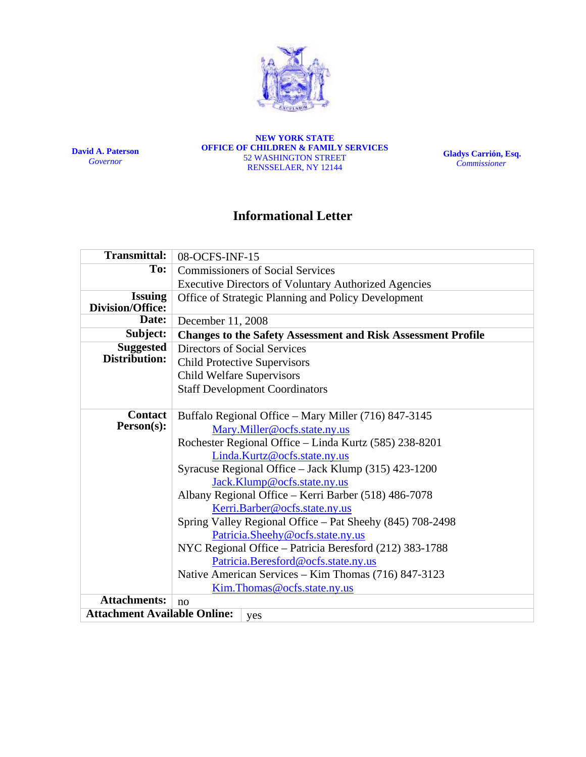

**David A. Paterson**  *Governor*

**NEW YORK STATE OFFICE OF CHILDREN & FAMILY SERVICES**  52 WASHINGTON STREET RENSSELAER, NY 12144

**Gladys Carrión, Esq.**   *Commissioner*

# **Informational Letter**

| <b>Transmittal:</b>                        | 08-OCFS-INF-15                                                                                                                                                                                                                                                                                                                                                                                                                                                                                                                                                                                                                                           |  |  |  |  |  |
|--------------------------------------------|----------------------------------------------------------------------------------------------------------------------------------------------------------------------------------------------------------------------------------------------------------------------------------------------------------------------------------------------------------------------------------------------------------------------------------------------------------------------------------------------------------------------------------------------------------------------------------------------------------------------------------------------------------|--|--|--|--|--|
| To:                                        | <b>Commissioners of Social Services</b>                                                                                                                                                                                                                                                                                                                                                                                                                                                                                                                                                                                                                  |  |  |  |  |  |
|                                            | <b>Executive Directors of Voluntary Authorized Agencies</b>                                                                                                                                                                                                                                                                                                                                                                                                                                                                                                                                                                                              |  |  |  |  |  |
| <b>Issuing</b><br>Division/Office:         | Office of Strategic Planning and Policy Development                                                                                                                                                                                                                                                                                                                                                                                                                                                                                                                                                                                                      |  |  |  |  |  |
| Date:                                      | December 11, 2008                                                                                                                                                                                                                                                                                                                                                                                                                                                                                                                                                                                                                                        |  |  |  |  |  |
| Subject:                                   | <b>Changes to the Safety Assessment and Risk Assessment Profile</b>                                                                                                                                                                                                                                                                                                                                                                                                                                                                                                                                                                                      |  |  |  |  |  |
| <b>Suggested</b><br>Distribution:          | Directors of Social Services<br><b>Child Protective Supervisors</b><br><b>Child Welfare Supervisors</b>                                                                                                                                                                                                                                                                                                                                                                                                                                                                                                                                                  |  |  |  |  |  |
|                                            | <b>Staff Development Coordinators</b>                                                                                                                                                                                                                                                                                                                                                                                                                                                                                                                                                                                                                    |  |  |  |  |  |
| <b>Contact</b><br>Person(s):               | Buffalo Regional Office – Mary Miller (716) 847-3145<br>Mary.Miller@ocfs.state.ny.us<br>Rochester Regional Office - Linda Kurtz (585) 238-8201<br>Linda.Kurtz@ocfs.state.ny.us<br>Syracuse Regional Office - Jack Klump (315) 423-1200<br>Jack.Klump@ocfs.state.ny.us<br>Albany Regional Office - Kerri Barber (518) 486-7078<br>Kerri.Barber@ocfs.state.ny.us<br>Spring Valley Regional Office – Pat Sheehy (845) 708-2498<br>Patricia.Sheehy@ocfs.state.ny.us<br>NYC Regional Office - Patricia Beresford (212) 383-1788<br>Patricia.Beresford@ocfs.state.ny.us<br>Native American Services – Kim Thomas (716) 847-3123<br>Kim.Thomas@ocfs.state.ny.us |  |  |  |  |  |
| <b>Attachments:</b>                        | no                                                                                                                                                                                                                                                                                                                                                                                                                                                                                                                                                                                                                                                       |  |  |  |  |  |
| <b>Attachment Available Online:</b><br>yes |                                                                                                                                                                                                                                                                                                                                                                                                                                                                                                                                                                                                                                                          |  |  |  |  |  |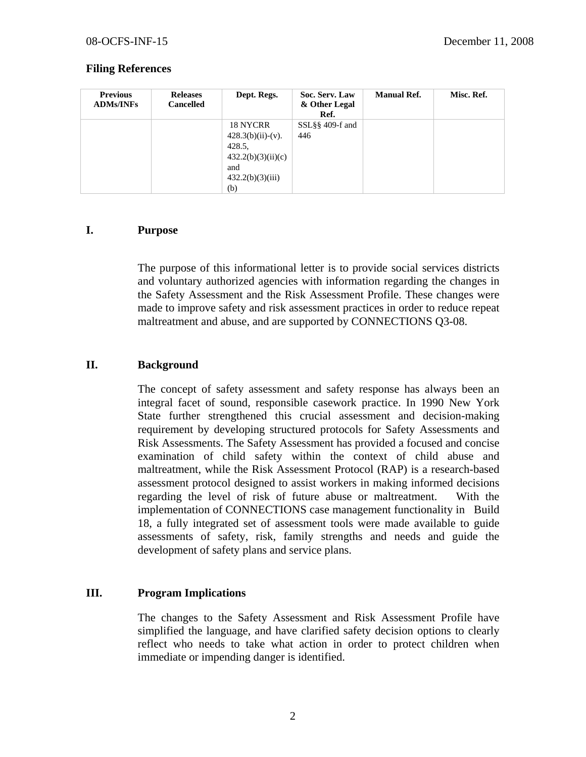### **Filing References**

| <b>Previous</b><br><b>ADMs/INFs</b> | <b>Releases</b><br><b>Cancelled</b> | Dept. Regs.                                                                                       | Soc. Serv. Law<br>& Other Legal<br>Ref. | <b>Manual Ref.</b> | Misc. Ref. |
|-------------------------------------|-------------------------------------|---------------------------------------------------------------------------------------------------|-----------------------------------------|--------------------|------------|
|                                     |                                     | 18 NYCRR<br>$428.3(b)(ii)-(v).$<br>428.5,<br>432.2(b)(3)(ii)(c)<br>and<br>432.2(b)(3)(iii)<br>(b) | $SSL\S$ § 409-f and<br>446              |                    |            |

#### **I. Purpose**

The purpose of this informational letter is to provide social services districts and voluntary authorized agencies with information regarding the changes in the Safety Assessment and the Risk Assessment Profile. These changes were made to improve safety and risk assessment practices in order to reduce repeat maltreatment and abuse, and are supported by CONNECTIONS Q3-08.

## **II. Background**

The concept of safety assessment and safety response has always been an integral facet of sound, responsible casework practice. In 1990 New York State further strengthened this crucial assessment and decision-making requirement by developing structured protocols for Safety Assessments and Risk Assessments. The Safety Assessment has provided a focused and concise examination of child safety within the context of child abuse and maltreatment, while the Risk Assessment Protocol (RAP) is a research-based assessment protocol designed to assist workers in making informed decisions regarding the level of risk of future abuse or maltreatment. With the implementation of CONNECTIONS case management functionality in Build 18, a fully integrated set of assessment tools were made available to guide assessments of safety, risk, family strengths and needs and guide the development of safety plans and service plans.

## **III. Program Implications**

The changes to the Safety Assessment and Risk Assessment Profile have simplified the language, and have clarified safety decision options to clearly reflect who needs to take what action in order to protect children when immediate or impending danger is identified.